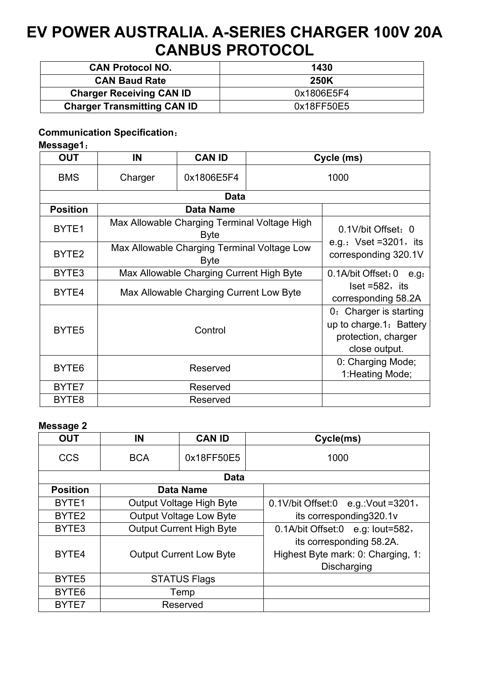# **EV POWER AUSTRALIA. A-SERIES CHARGER 100V 20A CANBUS PROTOCOL**

| <b>CAN Protocol NO.</b>            | 1430        |
|------------------------------------|-------------|
| <b>CAN Baud Rate</b>               | <b>250K</b> |
| <b>Charger Receiving CAN ID</b>    | 0x1806E5F4  |
| <b>Charger Transmitting CAN ID</b> | 0x18FF50E5  |

### **Communication Specification**:

#### **Message1**:

| <b>OUT</b>        | IN                                                          | <b>CAN ID</b> |      | Cycle (ms)                                                      |  |  |
|-------------------|-------------------------------------------------------------|---------------|------|-----------------------------------------------------------------|--|--|
| <b>BMS</b>        | Charger                                                     | 0x1806E5F4    | 1000 |                                                                 |  |  |
| Data              |                                                             |               |      |                                                                 |  |  |
| <b>Position</b>   | <b>Data Name</b>                                            |               |      |                                                                 |  |  |
| BYTE <sub>1</sub> | Max Allowable Charging Terminal Voltage High<br><b>Byte</b> |               |      | 0.1V/bit Offset: 0                                              |  |  |
| BYTE <sub>2</sub> | Max Allowable Charging Terminal Voltage Low<br><b>Byte</b>  |               |      | e.g.: $Vset = 3201$ , its<br>corresponding 320.1V               |  |  |
| BYTE3             | Max Allowable Charging Current High Byte                    |               |      | $0.1$ A/bit Offset: $0$ e.g.                                    |  |  |
| BYTE4             | Max Allowable Charging Current Low Byte                     |               |      | $\textsf{Iset} = 582, \textsf{its}$<br>corresponding 58.2A      |  |  |
|                   | Control                                                     |               |      | 0: Charger is starting                                          |  |  |
| BYTE <sub>5</sub> |                                                             |               |      | up to charge.1: Battery<br>protection, charger<br>close output. |  |  |
| BYTE <sub>6</sub> | Reserved                                                    |               |      | 0: Charging Mode;<br>1: Heating Mode;                           |  |  |
| BYTE7             | Reserved                                                    |               |      |                                                                 |  |  |
| BYTE8             | Reserved                                                    |               |      |                                                                 |  |  |

#### **Message 2**

| <b>OUT</b>        | IN                              | <b>CAN ID</b> |                                         | Cycle(ms)                          |  |
|-------------------|---------------------------------|---------------|-----------------------------------------|------------------------------------|--|
| <b>CCS</b>        | <b>BCA</b>                      | 0x18FF50E5    |                                         | 1000                               |  |
| <b>Data</b>       |                                 |               |                                         |                                    |  |
| <b>Position</b>   | <b>Data Name</b>                |               |                                         |                                    |  |
| BYTE <sub>1</sub> | <b>Output Voltage High Byte</b> |               | $0.1$ V/bit Offset:0 e.g.: Vout = 3201, |                                    |  |
| BYTE <sub>2</sub> | <b>Output Voltage Low Byte</b>  |               | its corresponding 320.1v                |                                    |  |
| BYTE3             | <b>Output Current High Byte</b> |               | 0.1A/bit Offset:0 e.g: lout=582,        |                                    |  |
|                   |                                 |               |                                         | its corresponding 58.2A.           |  |
| BYTE4             | <b>Output Current Low Byte</b>  |               |                                         | Highest Byte mark: 0: Charging, 1: |  |
|                   |                                 |               |                                         | Discharging                        |  |
| BYTE <sub>5</sub> | <b>STATUS Flags</b>             |               |                                         |                                    |  |
| BYTE <sub>6</sub> | Temp                            |               |                                         |                                    |  |
| BYTE7             | Reserved                        |               |                                         |                                    |  |